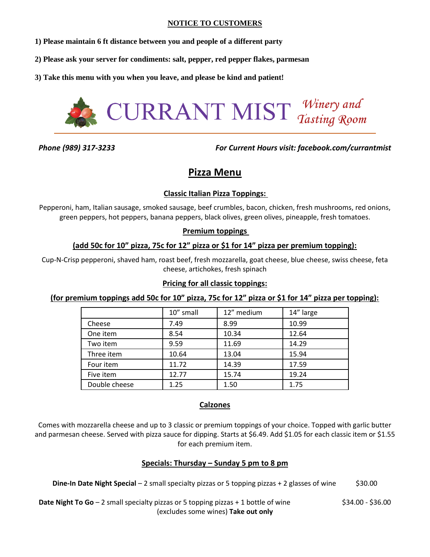## **NOTICE TO CUSTOMERS**

- **1) Please maintain 6 ft distance between you and people of a different party**
- **2) Please ask your server for condiments: salt, pepper, red pepper flakes, parmesan**
- **3) Take this menu with you when you leave, and please be kind and patient!**



*Phone (989) 317-3233 For Current Hours visit: facebook.com/currantmist*

# **Pizza Menu**

# **Classic Italian Pizza Toppings:**

Pepperoni, ham, Italian sausage, smoked sausage, beef crumbles, bacon, chicken, fresh mushrooms, red onions, green peppers, hot peppers, banana peppers, black olives, green olives, pineapple, fresh tomatoes.

## **Premium toppings**

# **(add 50c for 10" pizza, 75c for 12" pizza or \$1 for 14" pizza per premium topping):**

Cup-N-Crisp pepperoni, shaved ham, roast beef, fresh mozzarella, goat cheese, blue cheese, swiss cheese, feta cheese, artichokes, fresh spinach

# **Pricing for all classic toppings:**

# **(for premium toppings add 50c for 10" pizza, 75c for 12" pizza or \$1 for 14" pizza per topping):**

|               | 10" small | 12" medium | 14" large |
|---------------|-----------|------------|-----------|
| Cheese        | 7.49      | 8.99       | 10.99     |
| One item      | 8.54      | 10.34      | 12.64     |
| Two item      | 9.59      | 11.69      | 14.29     |
| Three item    | 10.64     | 13.04      | 15.94     |
| Four item     | 11.72     | 14.39      | 17.59     |
| Five item     | 12.77     | 15.74      | 19.24     |
| Double cheese | 1.25      | 1.50       | 1.75      |

# **Calzones**

Comes with mozzarella cheese and up to 3 classic or premium toppings of your choice. Topped with garlic butter and parmesan cheese. Served with pizza sauce for dipping. Starts at \$6.49. Add \$1.05 for each classic item or \$1.55 for each premium item.

# **Specials: Thursday – Sunday 5 pm to 8 pm**

|  | Dine-In Date Night Special - 2 small specialty pizzas or 5 topping pizzas + 2 glasses of wine | \$30.00 |
|--|-----------------------------------------------------------------------------------------------|---------|
|--|-----------------------------------------------------------------------------------------------|---------|

**Date Night To Go** – 2 small specialty pizzas or 5 topping pizzas + 1 bottle of wine \$34.00 - \$34.00 - \$36.00 (excludes some wines) **Take out only**